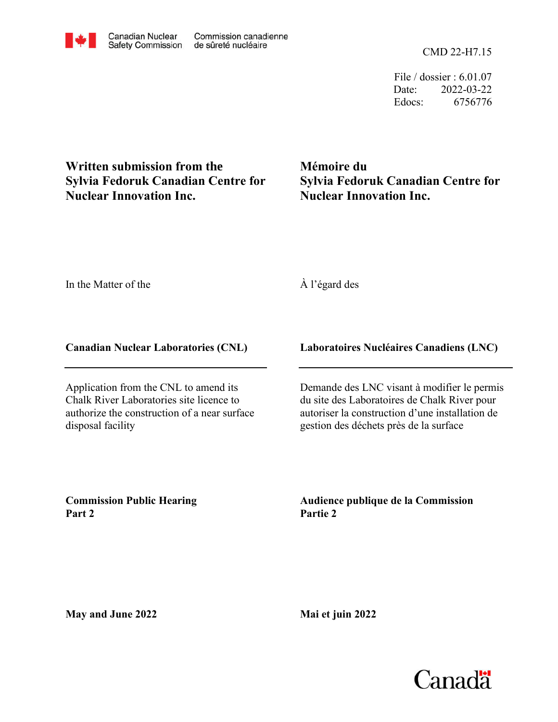File / dossier : 6.01.07 Date: 2022-03-22 Edocs: 6756776

**Nuclear Innovation Inc. Sylvia Fedoruk Canadian Centre for Written submission from the**

**Mémoire du Sylvia Fedoruk Canadian Centre for Nuclear Innovation Inc.**

In the Matter of the

À l'égard des

## **Canadian Nuclear Laboratories (CNL)**

Application from the CNL to amend its Chalk River Laboratories site licence to authorize the construction of a near surface disposal facility

## **Laboratoires Nucléaires Canadiens (LNC)**

Demande des LNC visant à modifier le permis du site des Laboratoires de Chalk River pour autoriser la construction d'une installation de gestion des déchets près de la surface

**Commission Public Hearing Part 2**

**Audience publique de la Commission Partie 2**

**May and June 2022**

**Mai et juin 2022**